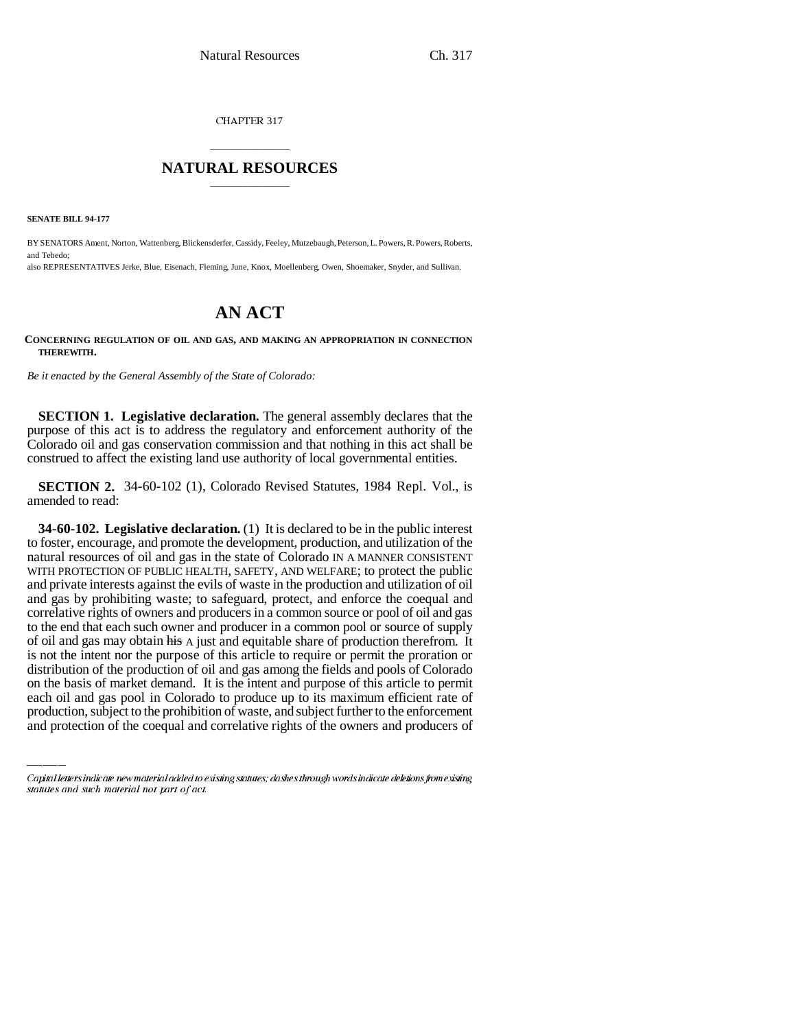CHAPTER 317

## \_\_\_\_\_\_\_\_\_\_\_\_\_\_\_ **NATURAL RESOURCES** \_\_\_\_\_\_\_\_\_\_\_\_\_\_\_

**SENATE BILL 94-177**

BY SENATORS Ament, Norton, Wattenberg, Blickensderfer, Cassidy, Feeley, Mutzebaugh, Peterson, L. Powers, R. Powers, Roberts, and Tebedo;

also REPRESENTATIVES Jerke, Blue, Eisenach, Fleming, June, Knox, Moellenberg, Owen, Shoemaker, Snyder, and Sullivan.

# **AN ACT**

**CONCERNING REGULATION OF OIL AND GAS, AND MAKING AN APPROPRIATION IN CONNECTION THEREWITH.**

*Be it enacted by the General Assembly of the State of Colorado:*

**SECTION 1. Legislative declaration.** The general assembly declares that the purpose of this act is to address the regulatory and enforcement authority of the Colorado oil and gas conservation commission and that nothing in this act shall be construed to affect the existing land use authority of local governmental entities.

**SECTION 2.** 34-60-102 (1), Colorado Revised Statutes, 1984 Repl. Vol., is amended to read:

distribution of the production of oil and gas among the fields and pools of Colorado **34-60-102. Legislative declaration.** (1) It is declared to be in the public interest to foster, encourage, and promote the development, production, and utilization of the natural resources of oil and gas in the state of Colorado IN A MANNER CONSISTENT WITH PROTECTION OF PUBLIC HEALTH, SAFETY, AND WELFARE; to protect the public and private interests against the evils of waste in the production and utilization of oil and gas by prohibiting waste; to safeguard, protect, and enforce the coequal and correlative rights of owners and producers in a common source or pool of oil and gas to the end that each such owner and producer in a common pool or source of supply of oil and gas may obtain his A just and equitable share of production therefrom. It is not the intent nor the purpose of this article to require or permit the proration or on the basis of market demand. It is the intent and purpose of this article to permit each oil and gas pool in Colorado to produce up to its maximum efficient rate of production, subject to the prohibition of waste, and subject further to the enforcement and protection of the coequal and correlative rights of the owners and producers of

Capital letters indicate new material added to existing statutes; dashes through words indicate deletions from existing statutes and such material not part of act.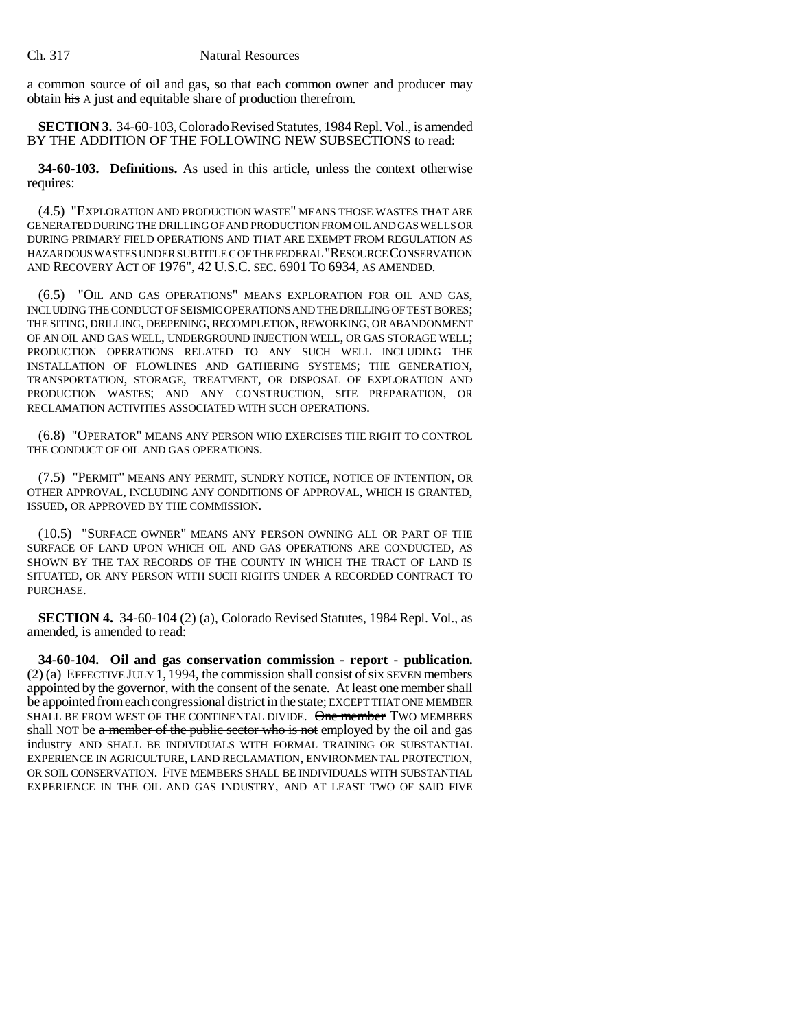a common source of oil and gas, so that each common owner and producer may obtain his A just and equitable share of production therefrom.

**SECTION 3.** 34-60-103, Colorado Revised Statutes, 1984 Repl. Vol., is amended BY THE ADDITION OF THE FOLLOWING NEW SUBSECTIONS to read:

**34-60-103. Definitions.** As used in this article, unless the context otherwise requires:

(4.5) "EXPLORATION AND PRODUCTION WASTE" MEANS THOSE WASTES THAT ARE GENERATED DURING THE DRILLING OF AND PRODUCTION FROM OIL AND GAS WELLS OR DURING PRIMARY FIELD OPERATIONS AND THAT ARE EXEMPT FROM REGULATION AS HAZARDOUS WASTES UNDER SUBTITLE C OF THE FEDERAL "RESOURCE CONSERVATION AND RECOVERY ACT OF 1976", 42 U.S.C. SEC. 6901 TO 6934, AS AMENDED.

(6.5) "OIL AND GAS OPERATIONS" MEANS EXPLORATION FOR OIL AND GAS, INCLUDING THE CONDUCT OF SEISMIC OPERATIONS AND THE DRILLING OF TEST BORES; THE SITING, DRILLING, DEEPENING, RECOMPLETION, REWORKING, OR ABANDONMENT OF AN OIL AND GAS WELL, UNDERGROUND INJECTION WELL, OR GAS STORAGE WELL; PRODUCTION OPERATIONS RELATED TO ANY SUCH WELL INCLUDING THE INSTALLATION OF FLOWLINES AND GATHERING SYSTEMS; THE GENERATION, TRANSPORTATION, STORAGE, TREATMENT, OR DISPOSAL OF EXPLORATION AND PRODUCTION WASTES; AND ANY CONSTRUCTION, SITE PREPARATION, OR RECLAMATION ACTIVITIES ASSOCIATED WITH SUCH OPERATIONS.

(6.8) "OPERATOR" MEANS ANY PERSON WHO EXERCISES THE RIGHT TO CONTROL THE CONDUCT OF OIL AND GAS OPERATIONS.

(7.5) "PERMIT" MEANS ANY PERMIT, SUNDRY NOTICE, NOTICE OF INTENTION, OR OTHER APPROVAL, INCLUDING ANY CONDITIONS OF APPROVAL, WHICH IS GRANTED, ISSUED, OR APPROVED BY THE COMMISSION.

(10.5) "SURFACE OWNER" MEANS ANY PERSON OWNING ALL OR PART OF THE SURFACE OF LAND UPON WHICH OIL AND GAS OPERATIONS ARE CONDUCTED, AS SHOWN BY THE TAX RECORDS OF THE COUNTY IN WHICH THE TRACT OF LAND IS SITUATED, OR ANY PERSON WITH SUCH RIGHTS UNDER A RECORDED CONTRACT TO PURCHASE.

**SECTION 4.** 34-60-104 (2) (a), Colorado Revised Statutes, 1984 Repl. Vol., as amended, is amended to read:

**34-60-104. Oil and gas conservation commission - report - publication.** (2) (a) EFFECTIVE JULY 1, 1994, the commission shall consist of  $\frac{1}{\sqrt{2}}$  SEVEN members appointed by the governor, with the consent of the senate. At least one member shall be appointed from each congressional district in the state; EXCEPT THAT ONE MEMBER SHALL BE FROM WEST OF THE CONTINENTAL DIVIDE. One member TWO MEMBERS shall NOT be a member of the public sector who is not employed by the oil and gas industry AND SHALL BE INDIVIDUALS WITH FORMAL TRAINING OR SUBSTANTIAL EXPERIENCE IN AGRICULTURE, LAND RECLAMATION, ENVIRONMENTAL PROTECTION, OR SOIL CONSERVATION. FIVE MEMBERS SHALL BE INDIVIDUALS WITH SUBSTANTIAL EXPERIENCE IN THE OIL AND GAS INDUSTRY, AND AT LEAST TWO OF SAID FIVE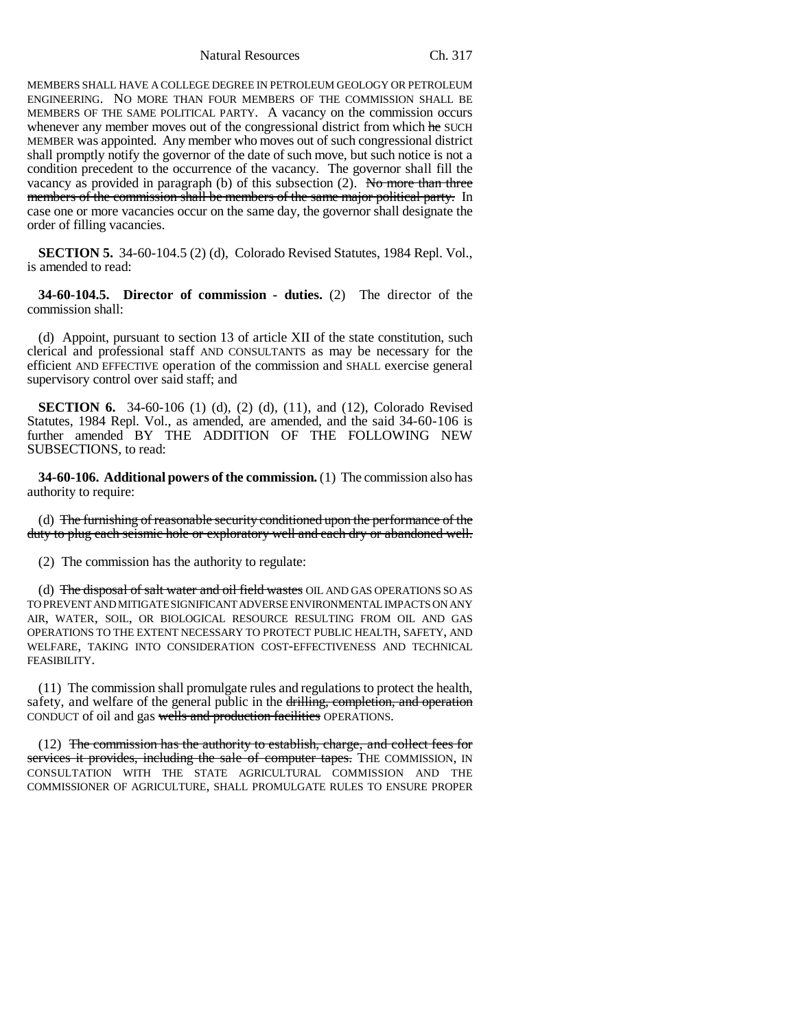MEMBERS SHALL HAVE A COLLEGE DEGREE IN PETROLEUM GEOLOGY OR PETROLEUM ENGINEERING. NO MORE THAN FOUR MEMBERS OF THE COMMISSION SHALL BE MEMBERS OF THE SAME POLITICAL PARTY. A vacancy on the commission occurs whenever any member moves out of the congressional district from which he SUCH MEMBER was appointed. Any member who moves out of such congressional district shall promptly notify the governor of the date of such move, but such notice is not a condition precedent to the occurrence of the vacancy. The governor shall fill the vacancy as provided in paragraph (b) of this subsection  $(2)$ . No more than three members of the commission shall be members of the same major political party. In case one or more vacancies occur on the same day, the governor shall designate the order of filling vacancies.

**SECTION 5.** 34-60-104.5 (2) (d), Colorado Revised Statutes, 1984 Repl. Vol., is amended to read:

**34-60-104.5. Director of commission - duties.** (2) The director of the commission shall:

(d) Appoint, pursuant to section 13 of article XII of the state constitution, such clerical and professional staff AND CONSULTANTS as may be necessary for the efficient AND EFFECTIVE operation of the commission and SHALL exercise general supervisory control over said staff; and

**SECTION 6.** 34-60-106 (1) (d), (2) (d), (11), and (12), Colorado Revised Statutes, 1984 Repl. Vol., as amended, are amended, and the said 34-60-106 is further amended BY THE ADDITION OF THE FOLLOWING NEW SUBSECTIONS, to read:

**34-60-106. Additional powers of the commission.** (1) The commission also has authority to require:

(d) The furnishing of reasonable security conditioned upon the performance of the duty to plug each seismic hole or exploratory well and each dry or abandoned well.

(2) The commission has the authority to regulate:

(d) The disposal of salt water and oil field wastes OIL AND GAS OPERATIONS SO AS TO PREVENT AND MITIGATE SIGNIFICANT ADVERSE ENVIRONMENTAL IMPACTS ON ANY AIR, WATER, SOIL, OR BIOLOGICAL RESOURCE RESULTING FROM OIL AND GAS OPERATIONS TO THE EXTENT NECESSARY TO PROTECT PUBLIC HEALTH, SAFETY, AND WELFARE, TAKING INTO CONSIDERATION COST-EFFECTIVENESS AND TECHNICAL FEASIBILITY.

(11) The commission shall promulgate rules and regulations to protect the health, safety, and welfare of the general public in the drilling, completion, and operation CONDUCT of oil and gas wells and production facilities OPERATIONS.

(12) The commission has the authority to establish, charge, and collect fees for services it provides, including the sale of computer tapes. THE COMMISSION, IN CONSULTATION WITH THE STATE AGRICULTURAL COMMISSION AND THE COMMISSIONER OF AGRICULTURE, SHALL PROMULGATE RULES TO ENSURE PROPER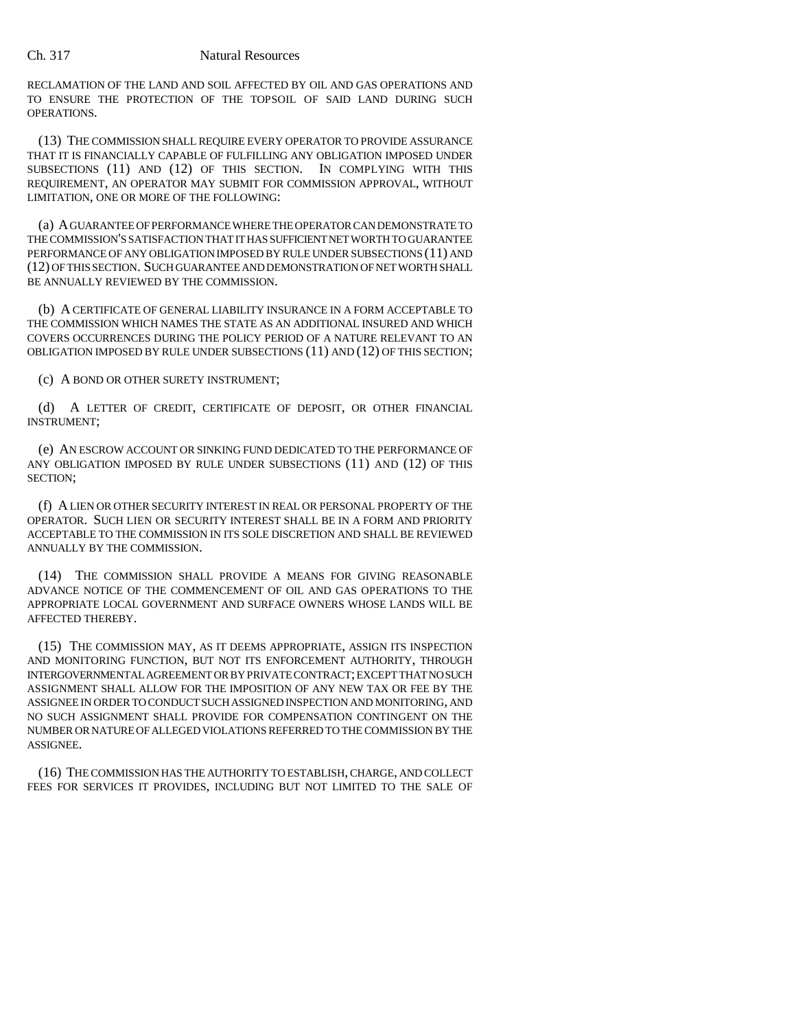RECLAMATION OF THE LAND AND SOIL AFFECTED BY OIL AND GAS OPERATIONS AND TO ENSURE THE PROTECTION OF THE TOPSOIL OF SAID LAND DURING SUCH OPERATIONS.

(13) THE COMMISSION SHALL REQUIRE EVERY OPERATOR TO PROVIDE ASSURANCE THAT IT IS FINANCIALLY CAPABLE OF FULFILLING ANY OBLIGATION IMPOSED UNDER SUBSECTIONS (11) AND (12) OF THIS SECTION. IN COMPLYING WITH THIS REQUIREMENT, AN OPERATOR MAY SUBMIT FOR COMMISSION APPROVAL, WITHOUT LIMITATION, ONE OR MORE OF THE FOLLOWING:

(a) A GUARANTEE OF PERFORMANCE WHERE THE OPERATOR CAN DEMONSTRATE TO THE COMMISSION'S SATISFACTION THAT IT HAS SUFFICIENT NET WORTH TO GUARANTEE PERFORMANCE OF ANY OBLIGATION IMPOSED BY RULE UNDER SUBSECTIONS (11) AND (12) OF THIS SECTION. SUCH GUARANTEE AND DEMONSTRATION OF NET WORTH SHALL BE ANNUALLY REVIEWED BY THE COMMISSION.

(b) A CERTIFICATE OF GENERAL LIABILITY INSURANCE IN A FORM ACCEPTABLE TO THE COMMISSION WHICH NAMES THE STATE AS AN ADDITIONAL INSURED AND WHICH COVERS OCCURRENCES DURING THE POLICY PERIOD OF A NATURE RELEVANT TO AN OBLIGATION IMPOSED BY RULE UNDER SUBSECTIONS (11) AND (12) OF THIS SECTION;

(c) A BOND OR OTHER SURETY INSTRUMENT;

(d) A LETTER OF CREDIT, CERTIFICATE OF DEPOSIT, OR OTHER FINANCIAL INSTRUMENT;

(e) AN ESCROW ACCOUNT OR SINKING FUND DEDICATED TO THE PERFORMANCE OF ANY OBLIGATION IMPOSED BY RULE UNDER SUBSECTIONS (11) AND (12) OF THIS SECTION;

(f) A LIEN OR OTHER SECURITY INTEREST IN REAL OR PERSONAL PROPERTY OF THE OPERATOR. SUCH LIEN OR SECURITY INTEREST SHALL BE IN A FORM AND PRIORITY ACCEPTABLE TO THE COMMISSION IN ITS SOLE DISCRETION AND SHALL BE REVIEWED ANNUALLY BY THE COMMISSION.

(14) THE COMMISSION SHALL PROVIDE A MEANS FOR GIVING REASONABLE ADVANCE NOTICE OF THE COMMENCEMENT OF OIL AND GAS OPERATIONS TO THE APPROPRIATE LOCAL GOVERNMENT AND SURFACE OWNERS WHOSE LANDS WILL BE AFFECTED THEREBY.

(15) THE COMMISSION MAY, AS IT DEEMS APPROPRIATE, ASSIGN ITS INSPECTION AND MONITORING FUNCTION, BUT NOT ITS ENFORCEMENT AUTHORITY, THROUGH INTERGOVERNMENTAL AGREEMENT OR BY PRIVATE CONTRACT; EXCEPT THAT NO SUCH ASSIGNMENT SHALL ALLOW FOR THE IMPOSITION OF ANY NEW TAX OR FEE BY THE ASSIGNEE IN ORDER TO CONDUCT SUCH ASSIGNED INSPECTION AND MONITORING, AND NO SUCH ASSIGNMENT SHALL PROVIDE FOR COMPENSATION CONTINGENT ON THE NUMBER OR NATURE OF ALLEGED VIOLATIONS REFERRED TO THE COMMISSION BY THE ASSIGNEE.

(16) THE COMMISSION HAS THE AUTHORITY TO ESTABLISH, CHARGE, AND COLLECT FEES FOR SERVICES IT PROVIDES, INCLUDING BUT NOT LIMITED TO THE SALE OF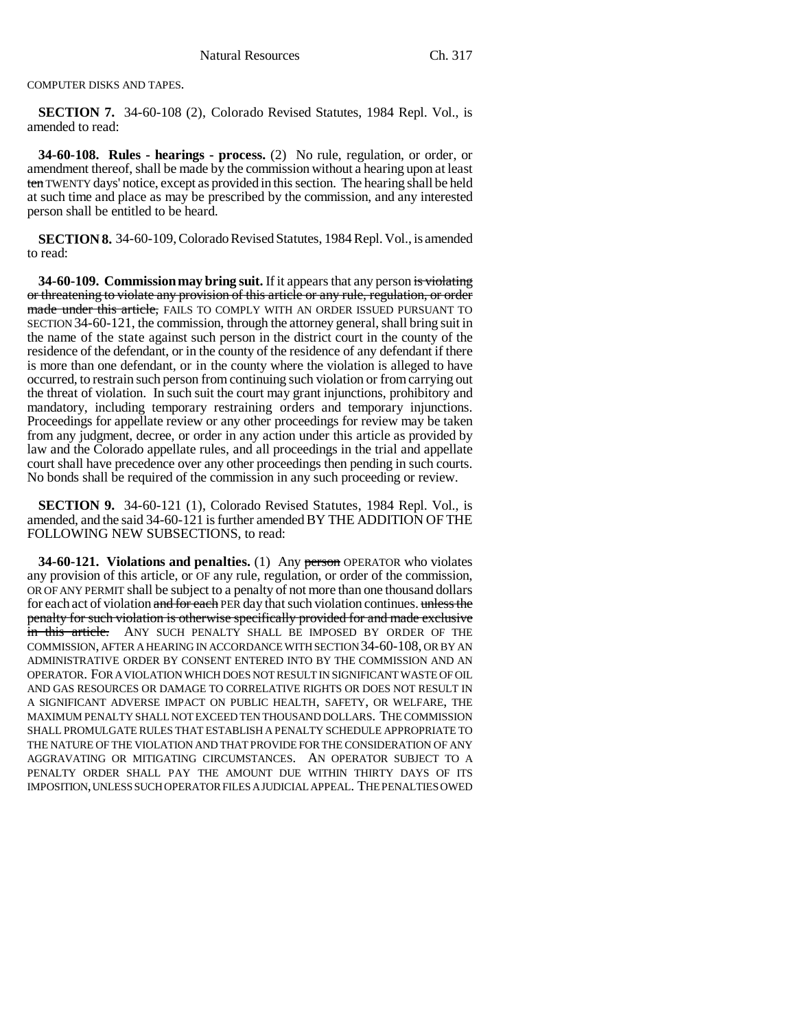COMPUTER DISKS AND TAPES.

**SECTION 7.** 34-60-108 (2), Colorado Revised Statutes, 1984 Repl. Vol., is amended to read:

**34-60-108. Rules - hearings - process.** (2) No rule, regulation, or order, or amendment thereof, shall be made by the commission without a hearing upon at least ten TWENTY days' notice, except as provided in this section. The hearing shall be held at such time and place as may be prescribed by the commission, and any interested person shall be entitled to be heard.

**SECTION 8.** 34-60-109, Colorado Revised Statutes, 1984 Repl. Vol., is amended to read:

**34-60-109. Commission may bring suit.** If it appears that any person is violating or threatening to violate any provision of this article or any rule, regulation, or order made under this article, FAILS TO COMPLY WITH AN ORDER ISSUED PURSUANT TO SECTION 34-60-121, the commission, through the attorney general, shall bring suit in the name of the state against such person in the district court in the county of the residence of the defendant, or in the county of the residence of any defendant if there is more than one defendant, or in the county where the violation is alleged to have occurred, to restrain such person from continuing such violation or from carrying out the threat of violation. In such suit the court may grant injunctions, prohibitory and mandatory, including temporary restraining orders and temporary injunctions. Proceedings for appellate review or any other proceedings for review may be taken from any judgment, decree, or order in any action under this article as provided by law and the Colorado appellate rules, and all proceedings in the trial and appellate court shall have precedence over any other proceedings then pending in such courts. No bonds shall be required of the commission in any such proceeding or review.

**SECTION 9.** 34-60-121 (1), Colorado Revised Statutes, 1984 Repl. Vol., is amended, and the said 34-60-121 is further amended BY THE ADDITION OF THE FOLLOWING NEW SUBSECTIONS, to read:

**34-60-121. Violations and penalties.** (1) Any person OPERATOR who violates any provision of this article, or OF any rule, regulation, or order of the commission, OR OF ANY PERMIT shall be subject to a penalty of not more than one thousand dollars for each act of violation and for each PER day that such violation continues. unless the penalty for such violation is otherwise specifically provided for and made exclusive in this article. ANY SUCH PENALTY SHALL BE IMPOSED BY ORDER OF THE COMMISSION, AFTER A HEARING IN ACCORDANCE WITH SECTION 34-60-108, OR BY AN ADMINISTRATIVE ORDER BY CONSENT ENTERED INTO BY THE COMMISSION AND AN OPERATOR. FOR A VIOLATION WHICH DOES NOT RESULT IN SIGNIFICANT WASTE OF OIL AND GAS RESOURCES OR DAMAGE TO CORRELATIVE RIGHTS OR DOES NOT RESULT IN A SIGNIFICANT ADVERSE IMPACT ON PUBLIC HEALTH, SAFETY, OR WELFARE, THE MAXIMUM PENALTY SHALL NOT EXCEED TEN THOUSAND DOLLARS. THE COMMISSION SHALL PROMULGATE RULES THAT ESTABLISH A PENALTY SCHEDULE APPROPRIATE TO THE NATURE OF THE VIOLATION AND THAT PROVIDE FOR THE CONSIDERATION OF ANY AGGRAVATING OR MITIGATING CIRCUMSTANCES. AN OPERATOR SUBJECT TO A PENALTY ORDER SHALL PAY THE AMOUNT DUE WITHIN THIRTY DAYS OF ITS IMPOSITION, UNLESS SUCH OPERATOR FILES A JUDICIAL APPEAL. THE PENALTIES OWED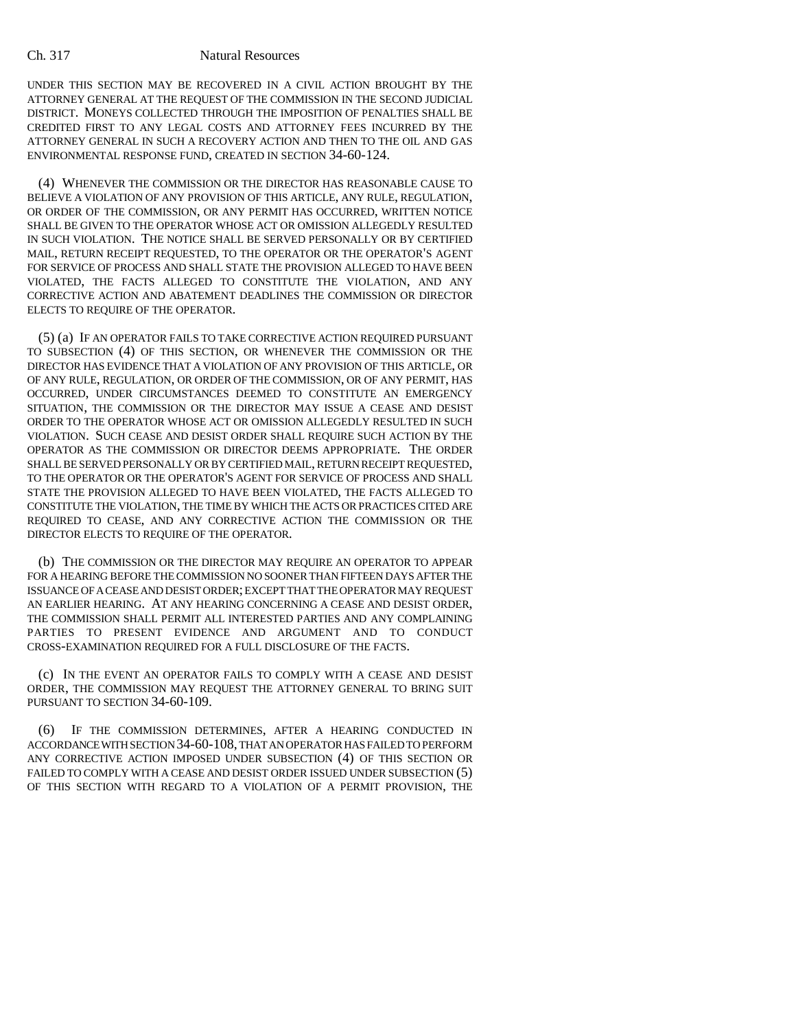UNDER THIS SECTION MAY BE RECOVERED IN A CIVIL ACTION BROUGHT BY THE ATTORNEY GENERAL AT THE REQUEST OF THE COMMISSION IN THE SECOND JUDICIAL DISTRICT. MONEYS COLLECTED THROUGH THE IMPOSITION OF PENALTIES SHALL BE CREDITED FIRST TO ANY LEGAL COSTS AND ATTORNEY FEES INCURRED BY THE ATTORNEY GENERAL IN SUCH A RECOVERY ACTION AND THEN TO THE OIL AND GAS ENVIRONMENTAL RESPONSE FUND, CREATED IN SECTION 34-60-124.

(4) WHENEVER THE COMMISSION OR THE DIRECTOR HAS REASONABLE CAUSE TO BELIEVE A VIOLATION OF ANY PROVISION OF THIS ARTICLE, ANY RULE, REGULATION, OR ORDER OF THE COMMISSION, OR ANY PERMIT HAS OCCURRED, WRITTEN NOTICE SHALL BE GIVEN TO THE OPERATOR WHOSE ACT OR OMISSION ALLEGEDLY RESULTED IN SUCH VIOLATION. THE NOTICE SHALL BE SERVED PERSONALLY OR BY CERTIFIED MAIL, RETURN RECEIPT REQUESTED, TO THE OPERATOR OR THE OPERATOR'S AGENT FOR SERVICE OF PROCESS AND SHALL STATE THE PROVISION ALLEGED TO HAVE BEEN VIOLATED, THE FACTS ALLEGED TO CONSTITUTE THE VIOLATION, AND ANY CORRECTIVE ACTION AND ABATEMENT DEADLINES THE COMMISSION OR DIRECTOR ELECTS TO REQUIRE OF THE OPERATOR.

(5) (a) IF AN OPERATOR FAILS TO TAKE CORRECTIVE ACTION REQUIRED PURSUANT TO SUBSECTION (4) OF THIS SECTION, OR WHENEVER THE COMMISSION OR THE DIRECTOR HAS EVIDENCE THAT A VIOLATION OF ANY PROVISION OF THIS ARTICLE, OR OF ANY RULE, REGULATION, OR ORDER OF THE COMMISSION, OR OF ANY PERMIT, HAS OCCURRED, UNDER CIRCUMSTANCES DEEMED TO CONSTITUTE AN EMERGENCY SITUATION, THE COMMISSION OR THE DIRECTOR MAY ISSUE A CEASE AND DESIST ORDER TO THE OPERATOR WHOSE ACT OR OMISSION ALLEGEDLY RESULTED IN SUCH VIOLATION. SUCH CEASE AND DESIST ORDER SHALL REQUIRE SUCH ACTION BY THE OPERATOR AS THE COMMISSION OR DIRECTOR DEEMS APPROPRIATE. THE ORDER SHALL BE SERVED PERSONALLY OR BY CERTIFIED MAIL, RETURN RECEIPT REQUESTED, TO THE OPERATOR OR THE OPERATOR'S AGENT FOR SERVICE OF PROCESS AND SHALL STATE THE PROVISION ALLEGED TO HAVE BEEN VIOLATED, THE FACTS ALLEGED TO CONSTITUTE THE VIOLATION, THE TIME BY WHICH THE ACTS OR PRACTICES CITED ARE REQUIRED TO CEASE, AND ANY CORRECTIVE ACTION THE COMMISSION OR THE DIRECTOR ELECTS TO REQUIRE OF THE OPERATOR.

(b) THE COMMISSION OR THE DIRECTOR MAY REQUIRE AN OPERATOR TO APPEAR FOR A HEARING BEFORE THE COMMISSION NO SOONER THAN FIFTEEN DAYS AFTER THE ISSUANCE OF A CEASE AND DESIST ORDER; EXCEPT THAT THE OPERATOR MAY REQUEST AN EARLIER HEARING. AT ANY HEARING CONCERNING A CEASE AND DESIST ORDER, THE COMMISSION SHALL PERMIT ALL INTERESTED PARTIES AND ANY COMPLAINING PARTIES TO PRESENT EVIDENCE AND ARGUMENT AND TO CONDUCT CROSS-EXAMINATION REQUIRED FOR A FULL DISCLOSURE OF THE FACTS.

(c) IN THE EVENT AN OPERATOR FAILS TO COMPLY WITH A CEASE AND DESIST ORDER, THE COMMISSION MAY REQUEST THE ATTORNEY GENERAL TO BRING SUIT PURSUANT TO SECTION 34-60-109.

IF THE COMMISSION DETERMINES, AFTER A HEARING CONDUCTED IN ACCORDANCE WITH SECTION 34-60-108, THAT AN OPERATOR HAS FAILED TO PERFORM ANY CORRECTIVE ACTION IMPOSED UNDER SUBSECTION (4) OF THIS SECTION OR FAILED TO COMPLY WITH A CEASE AND DESIST ORDER ISSUED UNDER SUBSECTION (5) OF THIS SECTION WITH REGARD TO A VIOLATION OF A PERMIT PROVISION, THE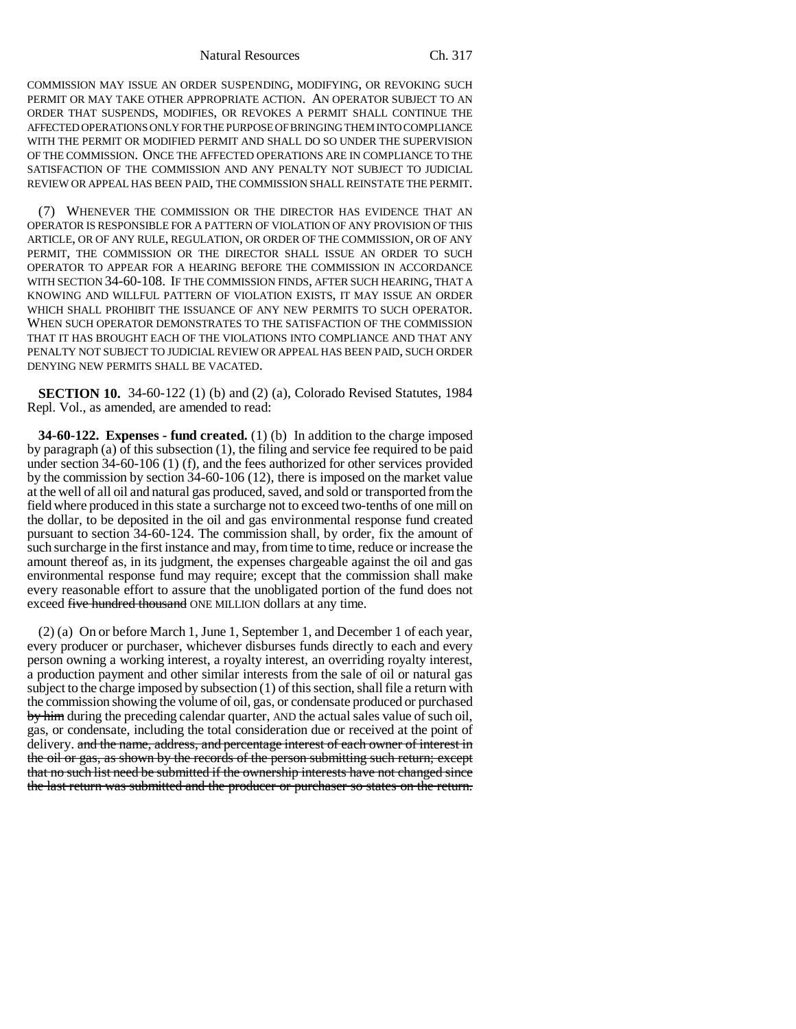COMMISSION MAY ISSUE AN ORDER SUSPENDING, MODIFYING, OR REVOKING SUCH PERMIT OR MAY TAKE OTHER APPROPRIATE ACTION. AN OPERATOR SUBJECT TO AN ORDER THAT SUSPENDS, MODIFIES, OR REVOKES A PERMIT SHALL CONTINUE THE AFFECTED OPERATIONS ONLY FOR THE PURPOSE OF BRINGING THEM INTO COMPLIANCE WITH THE PERMIT OR MODIFIED PERMIT AND SHALL DO SO UNDER THE SUPERVISION OF THE COMMISSION. ONCE THE AFFECTED OPERATIONS ARE IN COMPLIANCE TO THE SATISFACTION OF THE COMMISSION AND ANY PENALTY NOT SUBJECT TO JUDICIAL REVIEW OR APPEAL HAS BEEN PAID, THE COMMISSION SHALL REINSTATE THE PERMIT.

(7) WHENEVER THE COMMISSION OR THE DIRECTOR HAS EVIDENCE THAT AN OPERATOR IS RESPONSIBLE FOR A PATTERN OF VIOLATION OF ANY PROVISION OF THIS ARTICLE, OR OF ANY RULE, REGULATION, OR ORDER OF THE COMMISSION, OR OF ANY PERMIT, THE COMMISSION OR THE DIRECTOR SHALL ISSUE AN ORDER TO SUCH OPERATOR TO APPEAR FOR A HEARING BEFORE THE COMMISSION IN ACCORDANCE WITH SECTION 34-60-108. IF THE COMMISSION FINDS, AFTER SUCH HEARING, THAT A KNOWING AND WILLFUL PATTERN OF VIOLATION EXISTS, IT MAY ISSUE AN ORDER WHICH SHALL PROHIBIT THE ISSUANCE OF ANY NEW PERMITS TO SUCH OPERATOR. WHEN SUCH OPERATOR DEMONSTRATES TO THE SATISFACTION OF THE COMMISSION THAT IT HAS BROUGHT EACH OF THE VIOLATIONS INTO COMPLIANCE AND THAT ANY PENALTY NOT SUBJECT TO JUDICIAL REVIEW OR APPEAL HAS BEEN PAID, SUCH ORDER DENYING NEW PERMITS SHALL BE VACATED.

**SECTION 10.** 34-60-122 (1) (b) and (2) (a), Colorado Revised Statutes, 1984 Repl. Vol., as amended, are amended to read:

**34-60-122. Expenses - fund created.** (1) (b) In addition to the charge imposed by paragraph (a) of this subsection (1), the filing and service fee required to be paid under section 34-60-106 (1) (f), and the fees authorized for other services provided by the commission by section 34-60-106 (12), there is imposed on the market value at the well of all oil and natural gas produced, saved, and sold or transported from the field where produced in this state a surcharge not to exceed two-tenths of one mill on the dollar, to be deposited in the oil and gas environmental response fund created pursuant to section 34-60-124. The commission shall, by order, fix the amount of such surcharge in the first instance and may, from time to time, reduce or increase the amount thereof as, in its judgment, the expenses chargeable against the oil and gas environmental response fund may require; except that the commission shall make every reasonable effort to assure that the unobligated portion of the fund does not exceed five hundred thousand ONE MILLION dollars at any time.

(2) (a) On or before March 1, June 1, September 1, and December 1 of each year, every producer or purchaser, whichever disburses funds directly to each and every person owning a working interest, a royalty interest, an overriding royalty interest, a production payment and other similar interests from the sale of oil or natural gas subject to the charge imposed by subsection (1) of this section, shall file a return with the commission showing the volume of oil, gas, or condensate produced or purchased by him during the preceding calendar quarter, AND the actual sales value of such oil, gas, or condensate, including the total consideration due or received at the point of delivery. and the name, address, and percentage interest of each owner of interest in the oil or gas, as shown by the records of the person submitting such return; except that no such list need be submitted if the ownership interests have not changed since the last return was submitted and the producer or purchaser so states on the return.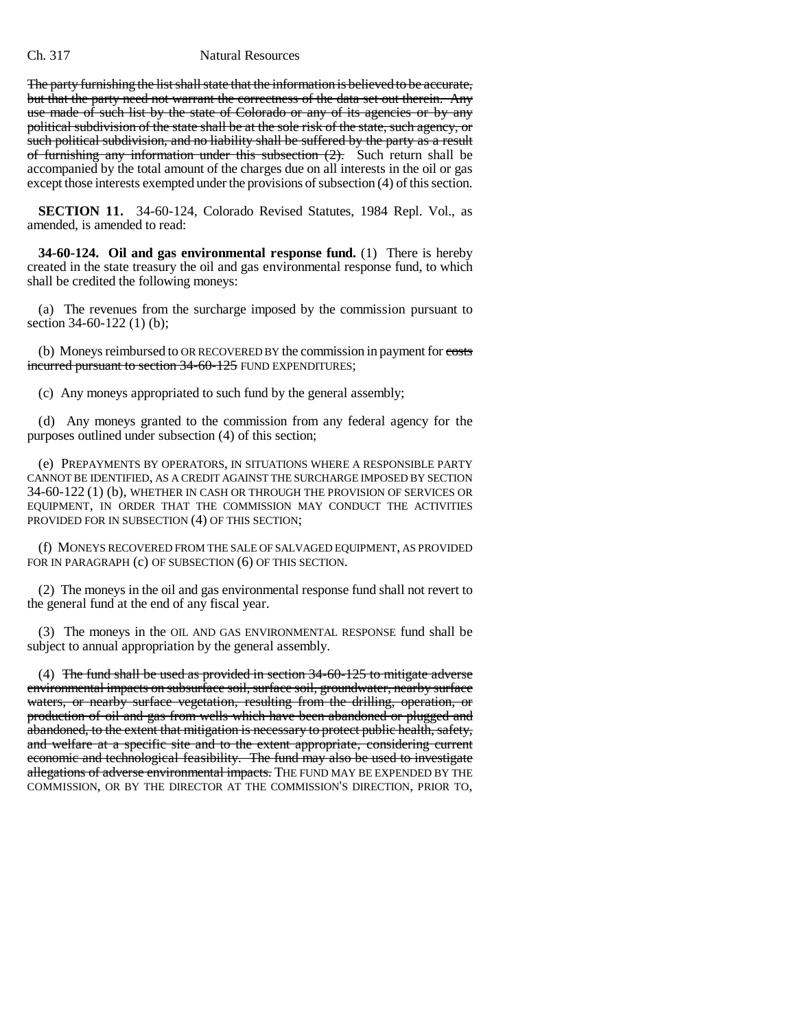The party furnishing the list shall state that the information is believed to be accurate, but that the party need not warrant the correctness of the data set out therein. Any use made of such list by the state of Colorado or any of its agencies or by any political subdivision of the state shall be at the sole risk of the state, such agency, or such political subdivision, and no liability shall be suffered by the party as a result of furnishing any information under this subsection  $(2)$ . Such return shall be accompanied by the total amount of the charges due on all interests in the oil or gas except those interests exempted under the provisions of subsection (4) of this section.

**SECTION 11.** 34-60-124, Colorado Revised Statutes, 1984 Repl. Vol., as amended, is amended to read:

**34-60-124. Oil and gas environmental response fund.** (1) There is hereby created in the state treasury the oil and gas environmental response fund, to which shall be credited the following moneys:

(a) The revenues from the surcharge imposed by the commission pursuant to section 34-60-122 (1) (b);

(b) Moneys reimbursed to OR RECOVERED BY the commission in payment for costs incurred pursuant to section 34-60-125 FUND EXPENDITURES;

(c) Any moneys appropriated to such fund by the general assembly;

(d) Any moneys granted to the commission from any federal agency for the purposes outlined under subsection (4) of this section;

(e) PREPAYMENTS BY OPERATORS, IN SITUATIONS WHERE A RESPONSIBLE PARTY CANNOT BE IDENTIFIED, AS A CREDIT AGAINST THE SURCHARGE IMPOSED BY SECTION 34-60-122 (1) (b), WHETHER IN CASH OR THROUGH THE PROVISION OF SERVICES OR EQUIPMENT, IN ORDER THAT THE COMMISSION MAY CONDUCT THE ACTIVITIES PROVIDED FOR IN SUBSECTION (4) OF THIS SECTION;

(f) MONEYS RECOVERED FROM THE SALE OF SALVAGED EQUIPMENT, AS PROVIDED FOR IN PARAGRAPH (c) OF SUBSECTION (6) OF THIS SECTION.

(2) The moneys in the oil and gas environmental response fund shall not revert to the general fund at the end of any fiscal year.

(3) The moneys in the OIL AND GAS ENVIRONMENTAL RESPONSE fund shall be subject to annual appropriation by the general assembly.

(4) The fund shall be used as provided in section 34-60-125 to mitigate adverse environmental impacts on subsurface soil, surface soil, groundwater, nearby surface waters, or nearby surface vegetation, resulting from the drilling, operation, or production of oil and gas from wells which have been abandoned or plugged and abandoned, to the extent that mitigation is necessary to protect public health, safety, and welfare at a specific site and to the extent appropriate, considering current economic and technological feasibility. The fund may also be used to investigate allegations of adverse environmental impacts. THE FUND MAY BE EXPENDED BY THE COMMISSION, OR BY THE DIRECTOR AT THE COMMISSION'S DIRECTION, PRIOR TO,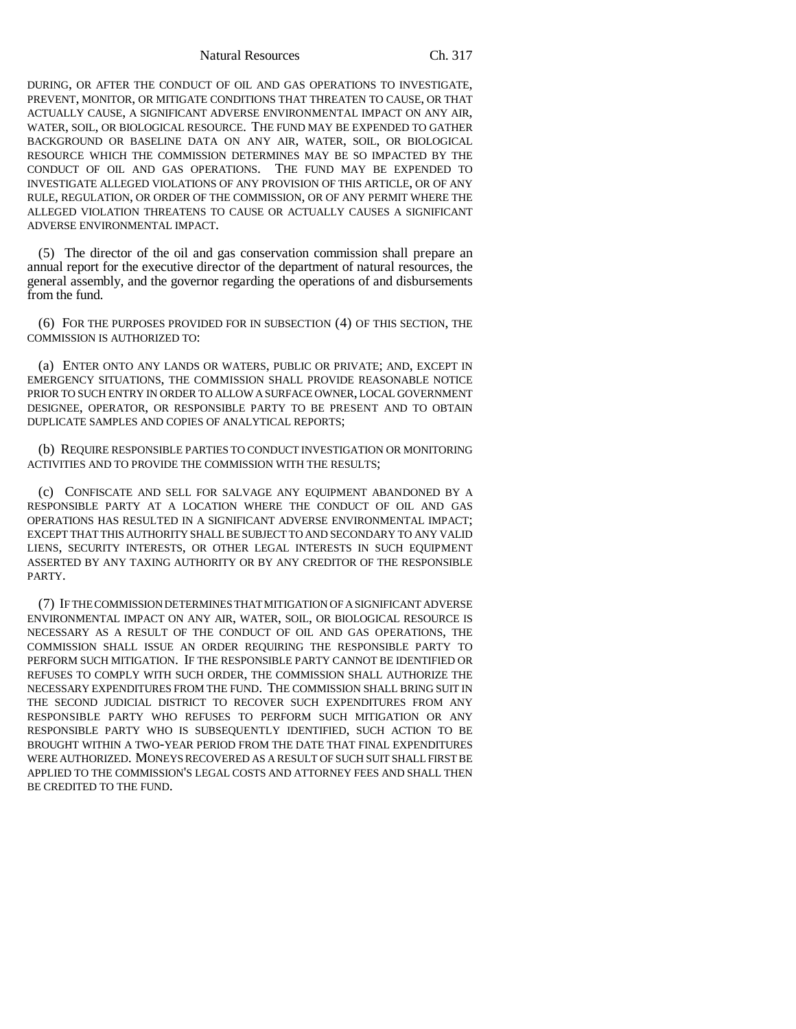DURING, OR AFTER THE CONDUCT OF OIL AND GAS OPERATIONS TO INVESTIGATE, PREVENT, MONITOR, OR MITIGATE CONDITIONS THAT THREATEN TO CAUSE, OR THAT ACTUALLY CAUSE, A SIGNIFICANT ADVERSE ENVIRONMENTAL IMPACT ON ANY AIR, WATER, SOIL, OR BIOLOGICAL RESOURCE. THE FUND MAY BE EXPENDED TO GATHER BACKGROUND OR BASELINE DATA ON ANY AIR, WATER, SOIL, OR BIOLOGICAL RESOURCE WHICH THE COMMISSION DETERMINES MAY BE SO IMPACTED BY THE CONDUCT OF OIL AND GAS OPERATIONS. THE FUND MAY BE EXPENDED TO INVESTIGATE ALLEGED VIOLATIONS OF ANY PROVISION OF THIS ARTICLE, OR OF ANY RULE, REGULATION, OR ORDER OF THE COMMISSION, OR OF ANY PERMIT WHERE THE ALLEGED VIOLATION THREATENS TO CAUSE OR ACTUALLY CAUSES A SIGNIFICANT ADVERSE ENVIRONMENTAL IMPACT.

(5) The director of the oil and gas conservation commission shall prepare an annual report for the executive director of the department of natural resources, the general assembly, and the governor regarding the operations of and disbursements from the fund.

(6) FOR THE PURPOSES PROVIDED FOR IN SUBSECTION (4) OF THIS SECTION, THE COMMISSION IS AUTHORIZED TO:

(a) ENTER ONTO ANY LANDS OR WATERS, PUBLIC OR PRIVATE; AND, EXCEPT IN EMERGENCY SITUATIONS, THE COMMISSION SHALL PROVIDE REASONABLE NOTICE PRIOR TO SUCH ENTRY IN ORDER TO ALLOW A SURFACE OWNER, LOCAL GOVERNMENT DESIGNEE, OPERATOR, OR RESPONSIBLE PARTY TO BE PRESENT AND TO OBTAIN DUPLICATE SAMPLES AND COPIES OF ANALYTICAL REPORTS;

(b) REQUIRE RESPONSIBLE PARTIES TO CONDUCT INVESTIGATION OR MONITORING ACTIVITIES AND TO PROVIDE THE COMMISSION WITH THE RESULTS;

(c) CONFISCATE AND SELL FOR SALVAGE ANY EQUIPMENT ABANDONED BY A RESPONSIBLE PARTY AT A LOCATION WHERE THE CONDUCT OF OIL AND GAS OPERATIONS HAS RESULTED IN A SIGNIFICANT ADVERSE ENVIRONMENTAL IMPACT; EXCEPT THAT THIS AUTHORITY SHALL BE SUBJECT TO AND SECONDARY TO ANY VALID LIENS, SECURITY INTERESTS, OR OTHER LEGAL INTERESTS IN SUCH EQUIPMENT ASSERTED BY ANY TAXING AUTHORITY OR BY ANY CREDITOR OF THE RESPONSIBLE PARTY.

(7) IF THE COMMISSION DETERMINES THAT MITIGATION OF A SIGNIFICANT ADVERSE ENVIRONMENTAL IMPACT ON ANY AIR, WATER, SOIL, OR BIOLOGICAL RESOURCE IS NECESSARY AS A RESULT OF THE CONDUCT OF OIL AND GAS OPERATIONS, THE COMMISSION SHALL ISSUE AN ORDER REQUIRING THE RESPONSIBLE PARTY TO PERFORM SUCH MITIGATION. IF THE RESPONSIBLE PARTY CANNOT BE IDENTIFIED OR REFUSES TO COMPLY WITH SUCH ORDER, THE COMMISSION SHALL AUTHORIZE THE NECESSARY EXPENDITURES FROM THE FUND. THE COMMISSION SHALL BRING SUIT IN THE SECOND JUDICIAL DISTRICT TO RECOVER SUCH EXPENDITURES FROM ANY RESPONSIBLE PARTY WHO REFUSES TO PERFORM SUCH MITIGATION OR ANY RESPONSIBLE PARTY WHO IS SUBSEQUENTLY IDENTIFIED, SUCH ACTION TO BE BROUGHT WITHIN A TWO-YEAR PERIOD FROM THE DATE THAT FINAL EXPENDITURES WERE AUTHORIZED. MONEYS RECOVERED AS A RESULT OF SUCH SUIT SHALL FIRST BE APPLIED TO THE COMMISSION'S LEGAL COSTS AND ATTORNEY FEES AND SHALL THEN BE CREDITED TO THE FUND.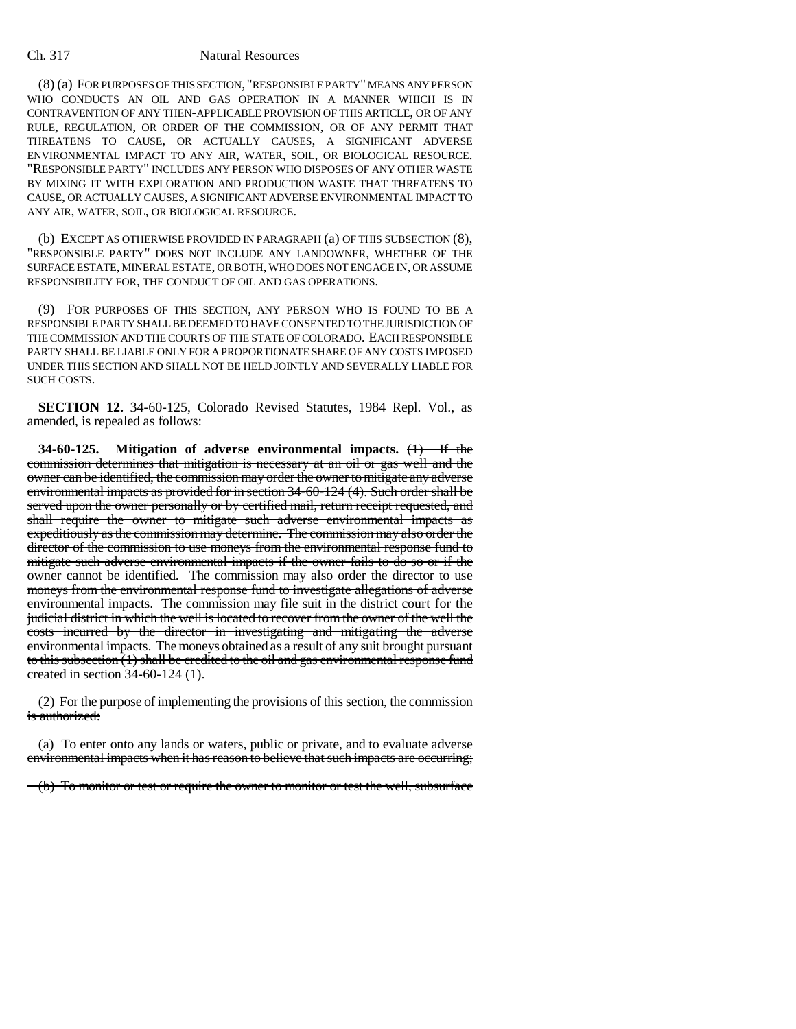(8) (a) FOR PURPOSES OF THIS SECTION, "RESPONSIBLE PARTY" MEANS ANY PERSON WHO CONDUCTS AN OIL AND GAS OPERATION IN A MANNER WHICH IS IN CONTRAVENTION OF ANY THEN-APPLICABLE PROVISION OF THIS ARTICLE, OR OF ANY RULE, REGULATION, OR ORDER OF THE COMMISSION, OR OF ANY PERMIT THAT THREATENS TO CAUSE, OR ACTUALLY CAUSES, A SIGNIFICANT ADVERSE ENVIRONMENTAL IMPACT TO ANY AIR, WATER, SOIL, OR BIOLOGICAL RESOURCE. "RESPONSIBLE PARTY" INCLUDES ANY PERSON WHO DISPOSES OF ANY OTHER WASTE BY MIXING IT WITH EXPLORATION AND PRODUCTION WASTE THAT THREATENS TO CAUSE, OR ACTUALLY CAUSES, A SIGNIFICANT ADVERSE ENVIRONMENTAL IMPACT TO ANY AIR, WATER, SOIL, OR BIOLOGICAL RESOURCE.

(b) EXCEPT AS OTHERWISE PROVIDED IN PARAGRAPH (a) OF THIS SUBSECTION (8), "RESPONSIBLE PARTY" DOES NOT INCLUDE ANY LANDOWNER, WHETHER OF THE SURFACE ESTATE, MINERAL ESTATE, OR BOTH, WHO DOES NOT ENGAGE IN, OR ASSUME RESPONSIBILITY FOR, THE CONDUCT OF OIL AND GAS OPERATIONS.

(9) FOR PURPOSES OF THIS SECTION, ANY PERSON WHO IS FOUND TO BE A RESPONSIBLE PARTY SHALL BE DEEMED TO HAVE CONSENTED TO THE JURISDICTION OF THE COMMISSION AND THE COURTS OF THE STATE OF COLORADO. EACH RESPONSIBLE PARTY SHALL BE LIABLE ONLY FOR A PROPORTIONATE SHARE OF ANY COSTS IMPOSED UNDER THIS SECTION AND SHALL NOT BE HELD JOINTLY AND SEVERALLY LIABLE FOR SUCH COSTS.

**SECTION 12.** 34-60-125, Colorado Revised Statutes, 1984 Repl. Vol., as amended, is repealed as follows:

**34-60-125. Mitigation of adverse environmental impacts.** (1) If the commission determines that mitigation is necessary at an oil or gas well and the owner can be identified, the commission may order the owner to mitigate any adverse environmental impacts as provided for in section 34-60-124 (4). Such order shall be served upon the owner personally or by certified mail, return receipt requested, and shall require the owner to mitigate such adverse environmental impacts as expeditiously as the commission may determine. The commission may also order the director of the commission to use moneys from the environmental response fund to mitigate such adverse environmental impacts if the owner fails to do so or if the owner cannot be identified. The commission may also order the director to use moneys from the environmental response fund to investigate allegations of adverse environmental impacts. The commission may file suit in the district court for the judicial district in which the well is located to recover from the owner of the well the costs incurred by the director in investigating and mitigating the adverse environmental impacts. The moneys obtained as a result of any suit brought pursuant to this subsection (1) shall be credited to the oil and gas environmental response fund created in section 34-60-124 (1).

 $\left( -2 \right)$  For the purpose of implementing the provisions of this section, the commission is authorized:

 $(a)$  To enter onto any lands or waters, public or private, and to evaluate adverse environmental impacts when it has reason to believe that such impacts are occurring;

(b) To monitor or test or require the owner to monitor or test the well, subsurface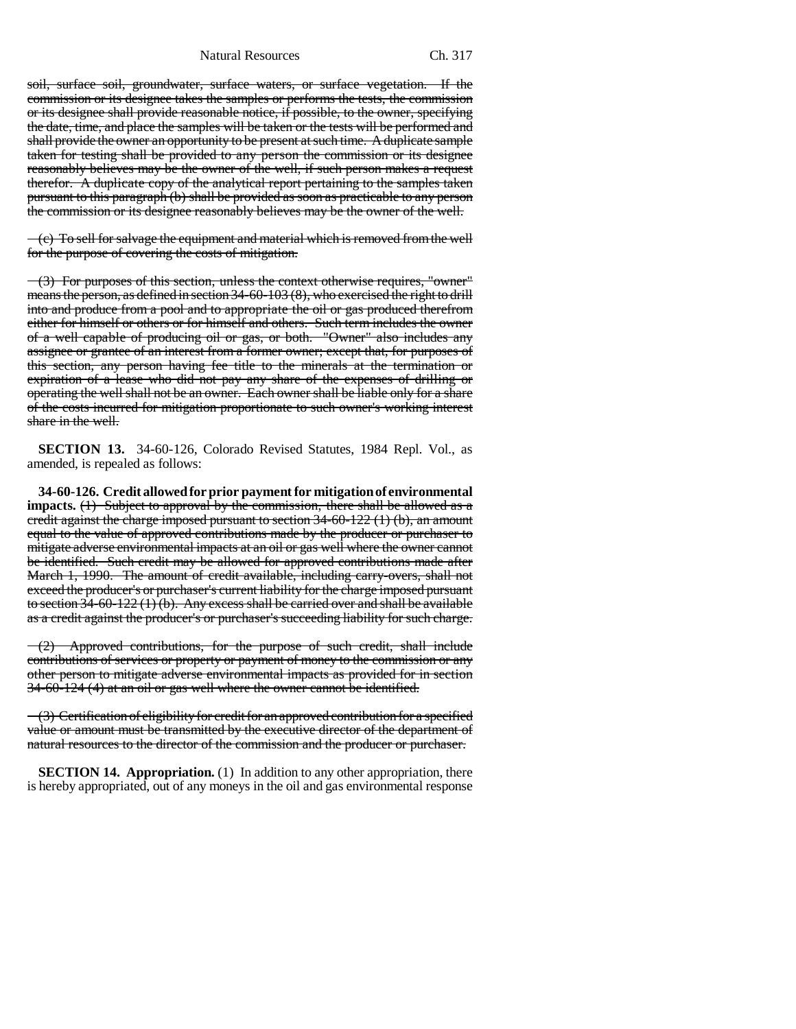soil, surface soil, groundwater, surface waters, or surface vegetation. If the commission or its designee takes the samples or performs the tests, the commission or its designee shall provide reasonable notice, if possible, to the owner, specifying the date, time, and place the samples will be taken or the tests will be performed and shall provide the owner an opportunity to be present at such time. A duplicate sample taken for testing shall be provided to any person the commission or its designee reasonably believes may be the owner of the well, if such person makes a request therefor. A duplicate copy of the analytical report pertaining to the samples taken pursuant to this paragraph (b) shall be provided as soon as practicable to any person the commission or its designee reasonably believes may be the owner of the well.

 $(-c)$  To sell for salvage the equipment and material which is removed from the well for the purpose of covering the costs of mitigation.

(3) For purposes of this section, unless the context otherwise requires, "owner" means the person, as defined in section 34-60-103 (8), who exercised the right to drill into and produce from a pool and to appropriate the oil or gas produced therefrom either for himself or others or for himself and others. Such term includes the owner of a well capable of producing oil or gas, or both. "Owner" also includes any assignee or grantee of an interest from a former owner; except that, for purposes of this section, any person having fee title to the minerals at the termination or expiration of a lease who did not pay any share of the expenses of drilling or operating the well shall not be an owner. Each owner shall be liable only for a share of the costs incurred for mitigation proportionate to such owner's working interest share in the well.

**SECTION 13.** 34-60-126, Colorado Revised Statutes, 1984 Repl. Vol., as amended, is repealed as follows:

**34-60-126. Credit allowed for prior payment for mitigation of environmental impacts.** (1) Subject to approval by the commission, there shall be allowed as a credit against the charge imposed pursuant to section 34-60-122 (1) (b), an amount equal to the value of approved contributions made by the producer or purchaser to mitigate adverse environmental impacts at an oil or gas well where the owner cannot be identified. Such credit may be allowed for approved contributions made after March 1, 1990. The amount of credit available, including carry-overs, shall not exceed the producer's or purchaser's current liability for the charge imposed pursuant to section  $34-60-122(1)(b)$ . Any excess shall be carried over and shall be available as a credit against the producer's or purchaser's succeeding liability for such charge.

 $-(2)$  Approved contributions, for the purpose of such credit, shall include contributions of services or property or payment of money to the commission or any other person to mitigate adverse environmental impacts as provided for in section 34-60-124 (4) at an oil or gas well where the owner cannot be identified.

 $\sim$  (3) Certification of eligibility for credit for an approved contribution for a specified value or amount must be transmitted by the executive director of the department of natural resources to the director of the commission and the producer or purchaser.

**SECTION 14. Appropriation.** (1) In addition to any other appropriation, there is hereby appropriated, out of any moneys in the oil and gas environmental response